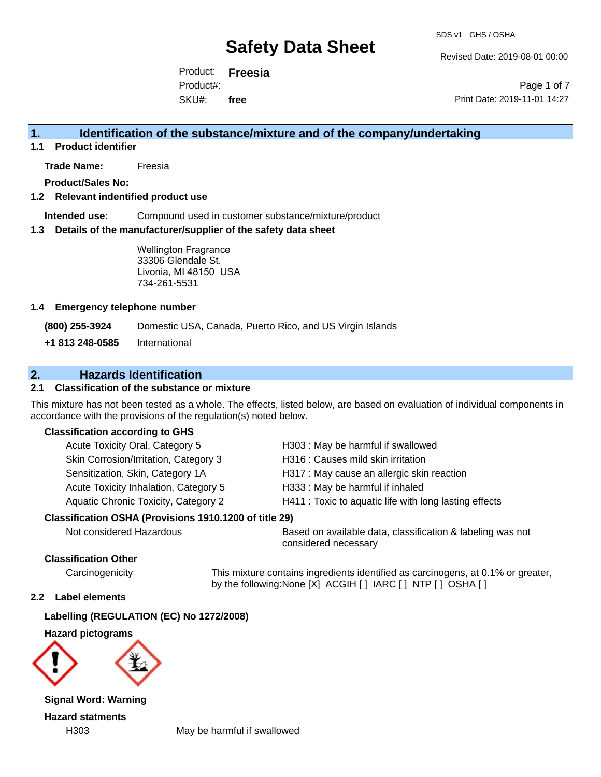Revised Date: 2019-08-01 00:00

Product: **Freesia** SKU#: Product#: **free**

Page 1 of 7 Print Date: 2019-11-01 14:27

# **1. Identification of the substance/mixture and of the company/undertaking**

**1.1 Product identifier**

**Trade Name:** Freesia

**Product/Sales No:**

#### **1.2 Relevant indentified product use**

**Intended use:** Compound used in customer substance/mixture/product

#### **1.3 Details of the manufacturer/supplier of the safety data sheet**

Wellington Fragrance 33306 Glendale St. Livonia, MI 48150 USA 734-261-5531

#### **1.4 Emergency telephone number**

**(800) 255-3924** Domestic USA, Canada, Puerto Rico, and US Virgin Islands

**+1 813 248-0585** International

# **2. Hazards Identification**

#### **2.1 Classification of the substance or mixture**

This mixture has not been tested as a whole. The effects, listed below, are based on evaluation of individual components in accordance with the provisions of the regulation(s) noted below.

#### **Classification according to GHS**

| H303: May be harmful if swallowed                      |
|--------------------------------------------------------|
| H316 : Causes mild skin irritation                     |
| H317 : May cause an allergic skin reaction             |
| H333: May be harmful if inhaled                        |
| H411 : Toxic to aquatic life with long lasting effects |
|                                                        |
|                                                        |

Not considered Hazardous Based on available data, classification & labeling was not considered necessary

#### **Classification Other**

Carcinogenicity This mixture contains ingredients identified as carcinogens, at 0.1% or greater, by the following:None [X] ACGIH [ ] IARC [ ] NTP [ ] OSHA [ ]

#### **2.2 Label elements**

#### **Labelling (REGULATION (EC) No 1272/2008)**

**Hazard pictograms**



**Signal Word: Warning Hazard statments**

H303 May be harmful if swallowed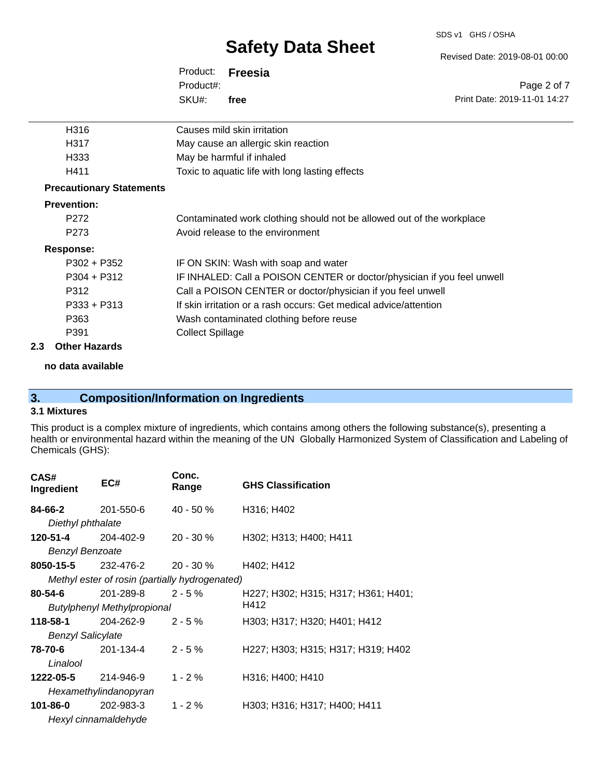#### SDS v1 GHS / OSHA

# **Safety Data Sheet**

Product: **Freesia** SKU#: Product#: **free**

| H316                            | Causes mild skin irritation                                             |
|---------------------------------|-------------------------------------------------------------------------|
| H317                            | May cause an allergic skin reaction                                     |
| H333                            | May be harmful if inhaled                                               |
| H411                            | Toxic to aquatic life with long lasting effects                         |
| <b>Precautionary Statements</b> |                                                                         |
| <b>Prevention:</b>              |                                                                         |
| P <sub>272</sub>                | Contaminated work clothing should not be allowed out of the workplace   |
| P <sub>273</sub>                | Avoid release to the environment                                        |
| Response:                       |                                                                         |
| $P302 + P352$                   | IF ON SKIN: Wash with soap and water                                    |
| $P304 + P312$                   | IF INHALED: Call a POISON CENTER or doctor/physician if you feel unwell |
| P312                            | Call a POISON CENTER or doctor/physician if you feel unwell             |
| $P333 + P313$                   | If skin irritation or a rash occurs: Get medical advice/attention       |
| P363                            | Wash contaminated clothing before reuse                                 |
| P391                            | <b>Collect Spillage</b>                                                 |
|                                 |                                                                         |

#### **2.3 Other Hazards**

**no data available**

# **3. Composition/Information on Ingredients**

### **3.1 Mixtures**

This product is a complex mixture of ingredients, which contains among others the following substance(s), presenting a health or environmental hazard within the meaning of the UN Globally Harmonized System of Classification and Labeling of Chemicals (GHS):

| CAS#<br>Ingredient       | EC#                                            | Conc.<br>Range | <b>GHS Classification</b>           |
|--------------------------|------------------------------------------------|----------------|-------------------------------------|
| 84-66-2                  | 201-550-6                                      | $40 - 50%$     | H316; H402                          |
| Diethyl phthalate        |                                                |                |                                     |
| 120-51-4                 | 204-402-9                                      | $20 - 30 \%$   | H302; H313; H400; H411              |
| <b>Benzyl Benzoate</b>   |                                                |                |                                     |
| 8050-15-5                | $232 - 476 - 20 - 30 \%$                       |                | H402; H412                          |
|                          | Methyl ester of rosin (partially hydrogenated) |                |                                     |
| $80 - 54 - 6$            | 201-289-8                                      | $2 - 5 \%$     | H227; H302; H315; H317; H361; H401; |
|                          | Butylphenyl Methylpropional                    |                | H412                                |
| 118-58-1                 | 204-262-9                                      | $2 - 5%$       | H303; H317; H320; H401; H412        |
| <b>Benzyl Salicylate</b> |                                                |                |                                     |
| 78-70-6                  | 201-134-4                                      | $2 - 5%$       | H227; H303; H315; H317; H319; H402  |
| Linalool                 |                                                |                |                                     |
| 1222-05-5 214-946-9      |                                                | $1 - 2 \%$     | H316; H400; H410                    |
|                          | Hexamethylindanopyran                          |                |                                     |
| 101-86-0                 | 202-983-3                                      | $1 - 2 \%$     | H303; H316; H317; H400; H411        |
|                          | Hexyl cinnamaldehyde                           |                |                                     |

Revised Date: 2019-08-01 00:00

Page 2 of 7 Print Date: 2019-11-01 14:27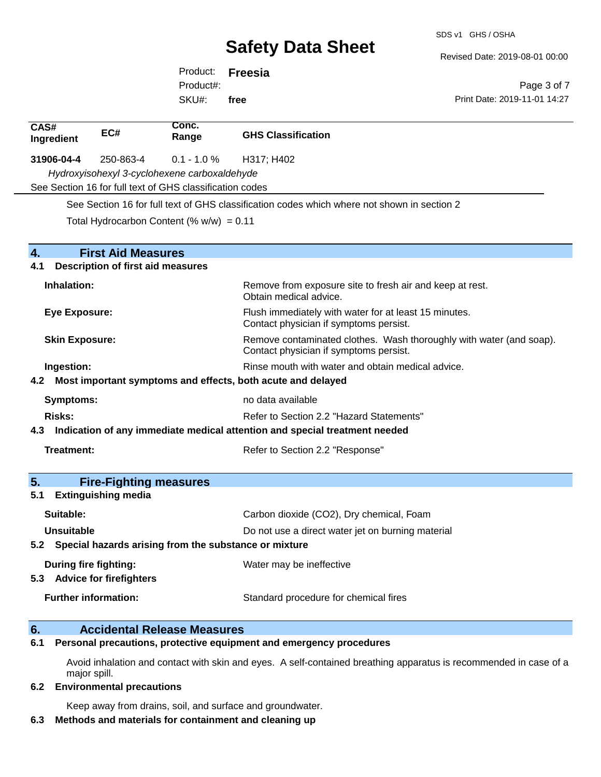Revised Date: 2019-08-01 00:00

Print Date: 2019-11-01 14:27

Page 3 of 7

Product: **Freesia** SKU#: Product#: **free**

| CAS#<br>Ingredient    | EC#                                      | Conc.<br>Range                                           | <b>GHS Classification</b>                                                                                     |
|-----------------------|------------------------------------------|----------------------------------------------------------|---------------------------------------------------------------------------------------------------------------|
| 31906-04-4            | 250-863-4                                | $0.1 - 1.0 %$                                            | H317; H402                                                                                                    |
|                       |                                          | Hydroxyisohexyl 3-cyclohexene carboxaldehyde             |                                                                                                               |
|                       |                                          | See Section 16 for full text of GHS classification codes |                                                                                                               |
|                       |                                          |                                                          | See Section 16 for full text of GHS classification codes which where not shown in section 2                   |
|                       |                                          | Total Hydrocarbon Content (% $w/w$ ) = 0.11              |                                                                                                               |
| 4.                    | <b>First Aid Measures</b>                |                                                          |                                                                                                               |
| 4.1                   | <b>Description of first aid measures</b> |                                                          |                                                                                                               |
| Inhalation:           |                                          |                                                          | Remove from exposure site to fresh air and keep at rest.<br>Obtain medical advice.                            |
| <b>Eye Exposure:</b>  |                                          |                                                          | Flush immediately with water for at least 15 minutes.<br>Contact physician if symptoms persist.               |
| <b>Skin Exposure:</b> |                                          |                                                          | Remove contaminated clothes. Wash thoroughly with water (and soap).<br>Contact physician if symptoms persist. |
| Ingestion:            |                                          |                                                          | Rinse mouth with water and obtain medical advice.                                                             |
|                       |                                          |                                                          | 4.2 Most important symptoms and effects, both acute and delayed                                               |
| <b>Symptoms:</b>      |                                          |                                                          | no data available                                                                                             |
| <b>Risks:</b>         |                                          |                                                          | Refer to Section 2.2 "Hazard Statements"                                                                      |
|                       |                                          |                                                          | 4.3 Indication of any immediate medical attention and special treatment needed                                |
| Treatment:            |                                          |                                                          | Refer to Section 2.2 "Response"                                                                               |
|                       |                                          |                                                          |                                                                                                               |
| 5.                    | <b>Fire-Fighting measures</b>            |                                                          |                                                                                                               |
| 5.1                   | <b>Extinguishing media</b>               |                                                          |                                                                                                               |
| Suitable:             |                                          |                                                          | Carbon dioxide (CO2), Dry chemical, Foam                                                                      |
| <b>Unsuitable</b>     |                                          |                                                          | Do not use a direct water jet on burning material                                                             |
|                       |                                          |                                                          | 5.2 Special hazards arising from the substance or mixture                                                     |
|                       | During fire fighting:                    |                                                          | Water may be ineffective                                                                                      |
|                       | 5.3 Advice for firefighters              |                                                          |                                                                                                               |
|                       | <b>Further information:</b>              |                                                          | Standard procedure for chemical fires                                                                         |
|                       |                                          |                                                          |                                                                                                               |

### **6. Accidental Release Measures**

**6.1 Personal precautions, protective equipment and emergency procedures**

Avoid inhalation and contact with skin and eyes. A self-contained breathing apparatus is recommended in case of a major spill.

#### **6.2 Environmental precautions**

Keep away from drains, soil, and surface and groundwater.

#### **6.3 Methods and materials for containment and cleaning up**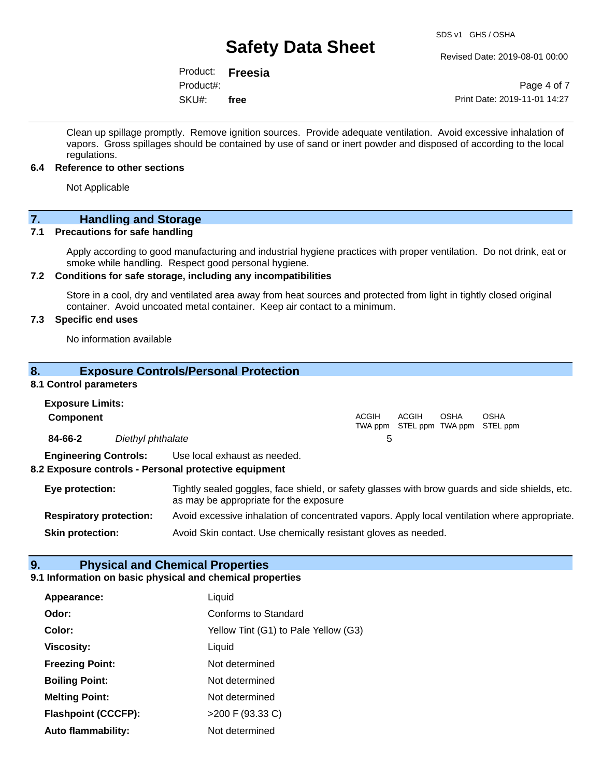Revised Date: 2019-08-01 00:00

Product: **Freesia** SKU#: Product#: **free**

Page 4 of 7 Print Date: 2019-11-01 14:27

Clean up spillage promptly. Remove ignition sources. Provide adequate ventilation. Avoid excessive inhalation of vapors. Gross spillages should be contained by use of sand or inert powder and disposed of according to the local regulations.

#### **6.4 Reference to other sections**

Not Applicable

# **7.** Handling and Storage<br> **7.1** Precautions for safe handling

#### **Precautions for safe handling**

Apply according to good manufacturing and industrial hygiene practices with proper ventilation. Do not drink, eat or smoke while handling. Respect good personal hygiene.

#### **7.2 Conditions for safe storage, including any incompatibilities**

Store in a cool, dry and ventilated area away from heat sources and protected from light in tightly closed original container. Avoid uncoated metal container. Keep air contact to a minimum.

### **7.3 Specific end uses**

No information available

#### **8. Exposure Controls/Personal Protection**

#### **8.1 Control parameters**

| <b>Exposure Limits:</b><br><b>Component</b> |                                |                                                                                                                                          | <b>ACGIH</b> | ACGIH | OSHA | OSHA<br>TWA ppm STEL ppm TWA ppm STEL ppm |
|---------------------------------------------|--------------------------------|------------------------------------------------------------------------------------------------------------------------------------------|--------------|-------|------|-------------------------------------------|
| 84-66-2                                     | Diethyl phthalate              |                                                                                                                                          | 5            |       |      |                                           |
|                                             | <b>Engineering Controls:</b>   | Use local exhaust as needed.<br>8.2 Exposure controls - Personal protective equipment                                                    |              |       |      |                                           |
| Eye protection:                             |                                | Tightly sealed goggles, face shield, or safety glasses with brow guards and side shields, etc.<br>as may be appropriate for the exposure |              |       |      |                                           |
|                                             | <b>Respiratory protection:</b> | Avoid excessive inhalation of concentrated vapors. Apply local ventilation where appropriate.                                            |              |       |      |                                           |

**Skin protection:** Avoid Skin contact. Use chemically resistant gloves as needed.

### **9. Physical and Chemical Properties**

### **9.1 Information on basic physical and chemical properties**

| Appearance:                | Liquid                               |
|----------------------------|--------------------------------------|
| Odor:                      | <b>Conforms to Standard</b>          |
| Color:                     | Yellow Tint (G1) to Pale Yellow (G3) |
| <b>Viscosity:</b>          | Liquid                               |
| <b>Freezing Point:</b>     | Not determined                       |
| <b>Boiling Point:</b>      | Not determined                       |
| <b>Melting Point:</b>      | Not determined                       |
| <b>Flashpoint (CCCFP):</b> | >200 F (93.33 C)                     |
| <b>Auto flammability:</b>  | Not determined                       |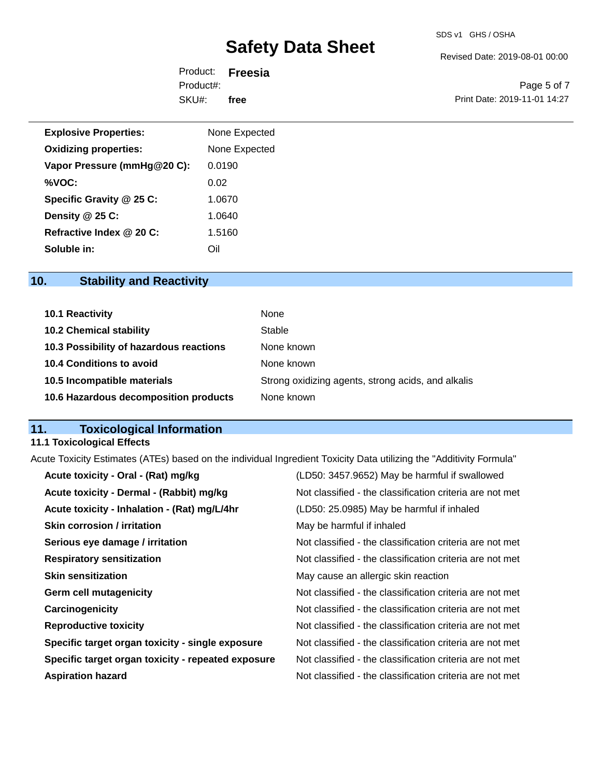#### SDS v1 GHS / OSHA

# **Safety Data Sheet**

Revised Date: 2019-08-01 00:00

Product: **Freesia** SKU#: Product#: **free**

Page 5 of 7 Print Date: 2019-11-01 14:27

| <b>Explosive Properties:</b> | None Expected |
|------------------------------|---------------|
| <b>Oxidizing properties:</b> | None Expected |
| Vapor Pressure (mmHg@20 C):  | 0.0190        |
| %VOC:                        | 0.02          |
| Specific Gravity @ 25 C:     | 1.0670        |
| Density @ 25 C:              | 1.0640        |
| Refractive Index @ 20 C:     | 1.5160        |
| Soluble in:                  | Oil           |

# **10. Stability and Reactivity**

| 10.1 Reactivity                         | None                                               |
|-----------------------------------------|----------------------------------------------------|
| <b>10.2 Chemical stability</b>          | Stable                                             |
| 10.3 Possibility of hazardous reactions | None known                                         |
| <b>10.4 Conditions to avoid</b>         | None known                                         |
| 10.5 Incompatible materials             | Strong oxidizing agents, strong acids, and alkalis |
| 10.6 Hazardous decomposition products   | None known                                         |

# **11. Toxicological Information**

## **11.1 Toxicological Effects**

Acute Toxicity Estimates (ATEs) based on the individual Ingredient Toxicity Data utilizing the "Additivity Formula"

| Acute toxicity - Oral - (Rat) mg/kg                | (LD50: 3457.9652) May be harmful if swallowed            |
|----------------------------------------------------|----------------------------------------------------------|
| Acute toxicity - Dermal - (Rabbit) mg/kg           | Not classified - the classification criteria are not met |
| Acute toxicity - Inhalation - (Rat) mg/L/4hr       | (LD50: 25.0985) May be harmful if inhaled                |
| <b>Skin corrosion / irritation</b>                 | May be harmful if inhaled                                |
| Serious eye damage / irritation                    | Not classified - the classification criteria are not met |
| <b>Respiratory sensitization</b>                   | Not classified - the classification criteria are not met |
| <b>Skin sensitization</b>                          | May cause an allergic skin reaction                      |
| <b>Germ cell mutagenicity</b>                      | Not classified - the classification criteria are not met |
| Carcinogenicity                                    | Not classified - the classification criteria are not met |
| <b>Reproductive toxicity</b>                       | Not classified - the classification criteria are not met |
| Specific target organ toxicity - single exposure   | Not classified - the classification criteria are not met |
| Specific target organ toxicity - repeated exposure | Not classified - the classification criteria are not met |
| <b>Aspiration hazard</b>                           | Not classified - the classification criteria are not met |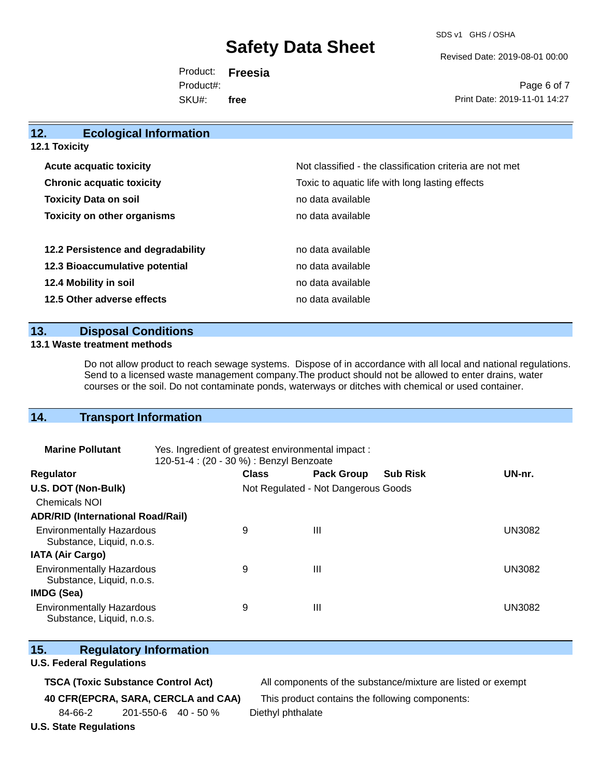SDS v1 GHS / OSHA

Revised Date: 2019-08-01 00:00

Product: **Freesia** SKU#: Product#: **free**

Page 6 of 7 Print Date: 2019-11-01 14:27

| 12.<br><b>Ecological Information</b> |                                                          |
|--------------------------------------|----------------------------------------------------------|
| <b>12.1 Toxicity</b>                 |                                                          |
| <b>Acute acquatic toxicity</b>       | Not classified - the classification criteria are not met |
| <b>Chronic acquatic toxicity</b>     | Toxic to aquatic life with long lasting effects          |
| <b>Toxicity Data on soil</b>         | no data available                                        |
| <b>Toxicity on other organisms</b>   | no data available                                        |
| 12.2 Persistence and degradability   | no data available                                        |
| 12.3 Bioaccumulative potential       | no data available                                        |
| 12.4 Mobility in soil                | no data available                                        |
| 12.5 Other adverse effects           | no data available                                        |
|                                      |                                                          |

### **13. Disposal Conditions**

#### **13.1 Waste treatment methods**

Do not allow product to reach sewage systems. Dispose of in accordance with all local and national regulations. Send to a licensed waste management company.The product should not be allowed to enter drains, water courses or the soil. Do not contaminate ponds, waterways or ditches with chemical or used container.

### **14. Transport Information**

| <b>Marine Pollutant</b>                                       | Yes. Ingredient of greatest environmental impact:<br>120-51-4 : (20 - 30 %) : Benzyl Benzoate |              |                                     |                 |               |
|---------------------------------------------------------------|-----------------------------------------------------------------------------------------------|--------------|-------------------------------------|-----------------|---------------|
| <b>Regulator</b>                                              |                                                                                               | <b>Class</b> | <b>Pack Group</b>                   | <b>Sub Risk</b> | UN-nr.        |
| U.S. DOT (Non-Bulk)                                           |                                                                                               |              | Not Regulated - Not Dangerous Goods |                 |               |
| <b>Chemicals NOI</b>                                          |                                                                                               |              |                                     |                 |               |
| <b>ADR/RID (International Road/Rail)</b>                      |                                                                                               |              |                                     |                 |               |
| <b>Environmentally Hazardous</b><br>Substance, Liquid, n.o.s. |                                                                                               | 9            | $\mathbf{III}$                      |                 | <b>UN3082</b> |
| <b>IATA (Air Cargo)</b>                                       |                                                                                               |              |                                     |                 |               |
| <b>Environmentally Hazardous</b><br>Substance, Liquid, n.o.s. |                                                                                               | 9            | Ш                                   |                 | <b>UN3082</b> |
| IMDG (Sea)                                                    |                                                                                               |              |                                     |                 |               |
| <b>Environmentally Hazardous</b><br>Substance, Liquid, n.o.s. |                                                                                               | 9            | Ш                                   |                 | UN3082        |

|  | 15. | <b>Regulatory Information</b> |
|--|-----|-------------------------------|
|--|-----|-------------------------------|

#### **U.S. Federal Regulations**

**TSCA (Toxic Substance Control Act)** All components of the substance/mixture are listed or exempt

**40 CFR(EPCRA, SARA, CERCLA and CAA)** This product contains the following components:

84-66-2 201-550-6 40 - 50 % Diethyl phthalate

**U.S. State Regulations**